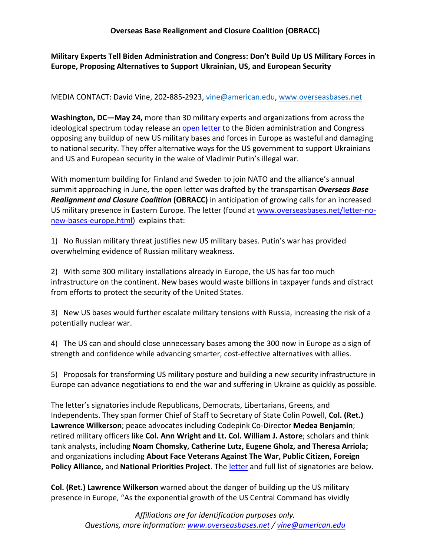# **Military Experts Tell Biden Administration and Congress: Don't Build Up US Military Forces in Europe, Proposing Alternatives to Support Ukrainian, US, and European Security**

#### MEDIA CONTACT: David Vine, 202-885-2923, vine@american.edu, www.overseasbases.net

**Washington, DC—May 24,** more than 30 military experts and organizations from across the ideological spectrum today release an open letter to the Biden administration and Congress opposing any buildup of new US military bases and forces in Europe as wasteful and damaging to national security. They offer alternative ways for the US government to support Ukrainians and US and European security in the wake of Vladimir Putin's illegal war.

With momentum building for Finland and Sweden to join NATO and the alliance's annual summit approaching in June, the open letter was drafted by the transpartisan *Overseas Base Realignment and Closure Coalition* **(OBRACC)** in anticipation of growing calls for an increased US military presence in Eastern Europe. The letter (found at www.overseasbases.net/letter-nonew-bases-europe.html) explains that:

1) No Russian military threat justifies new US military bases. Putin's war has provided overwhelming evidence of Russian military weakness.

2) With some 300 military installations already in Europe, the US has far too much infrastructure on the continent. New bases would waste billions in taxpayer funds and distract from efforts to protect the security of the United States.

3) New US bases would further escalate military tensions with Russia, increasing the risk of a potentially nuclear war.

4) The US can and should close unnecessary bases among the 300 now in Europe as a sign of strength and confidence while advancing smarter, cost-effective alternatives with allies.

5) Proposals for transforming US military posture and building a new security infrastructure in Europe can advance negotiations to end the war and suffering in Ukraine as quickly as possible.

The letter's signatories include Republicans, Democrats, Libertarians, Greens, and Independents. They span former Chief of Staff to Secretary of State Colin Powell, **Col. (Ret.) Lawrence Wilkerson**; peace advocates including Codepink Co-Director **Medea Benjamin**; retired military officers like **Col. Ann Wright and Lt. Col. William J. Astore**; scholars and think tank analysts, including **Noam Chomsky, Catherine Lutz, Eugene Gholz, and Theresa Arriola;**  and organizations including **About Face Veterans Against The War, Public Citizen, Foreign Policy Alliance,** and **National Priorities Project**. The letter and full list of signatories are below.

**Col. (Ret.) Lawrence Wilkerson** warned about the danger of building up the US military presence in Europe, "As the exponential growth of the US Central Command has vividly

> *Affiliations are for identification purposes only. Questions, more information: www.overseasbases.net / vine@american.edu*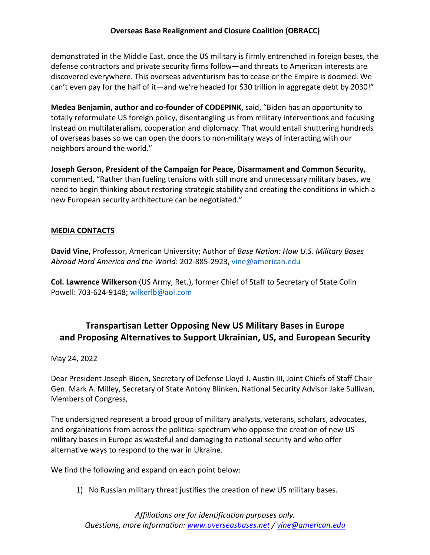## **Overseas Base Realignment and Closure Coalition (OBRACC)**

demonstrated in the Middle East, once the US military is firmly entrenched in foreign bases, the defense contractors and private security firms follow—and threats to American interests are discovered everywhere. This overseas adventurism has to cease or the Empire is doomed. We can't even pay for the half of it—and we're headed for \$30 trillion in aggregate debt by 2030!"

**Medea Benjamin, author and co-founder of CODEPINK,** said, "Biden has an opportunity to totally reformulate US foreign policy, disentangling us from military interventions and focusing instead on multilateralism, cooperation and diplomacy. That would entail shuttering hundreds of overseas bases so we can open the doors to non-military ways of interacting with our neighbors around the world."

**Joseph Gerson, President of the Campaign for Peace, Disarmament and Common Security,**  commented, "Rather than fueling tensions with still more and unnecessary military bases, we need to begin thinking about restoring strategic stability and creating the conditions in which a new European security architecture can be negotiated."

#### **MEDIA CONTACTS**

**David Vine,** Professor, American University; Author of *Base Nation: How U.S. Military Bases Abroad Hard America and the World*: 202-885-2923, vine@american.edu

**Col. Lawrence Wilkerson** (US Army, Ret.), former Chief of Staff to Secretary of State Colin Powell: 703-624-9148; wilkerlb@aol.com

# **Transpartisan Letter Opposing New US Military Bases in Europe and Proposing Alternatives to Support Ukrainian, US, and European Security**

#### May 24, 2022

Dear President Joseph Biden, Secretary of Defense Lloyd J. Austin III, Joint Chiefs of Staff Chair Gen. Mark A. Milley, Secretary of State Antony Blinken, National Security Advisor Jake Sullivan, Members of Congress,

The undersigned represent a broad group of military analysts, veterans, scholars, advocates, and organizations from across the political spectrum who oppose the creation of new US military bases in Europe as wasteful and damaging to national security and who offer alternative ways to respond to the war in Ukraine.

We find the following and expand on each point below:

1) No Russian military threat justifies the creation of new US military bases.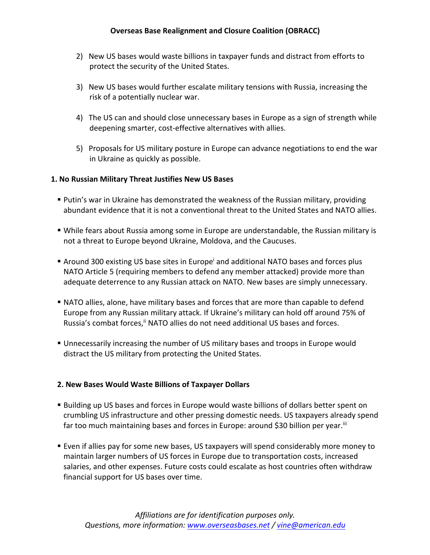- 2) New US bases would waste billions in taxpayer funds and distract from efforts to protect the security of the United States.
- 3) New US bases would further escalate military tensions with Russia, increasing the risk of a potentially nuclear war.
- 4) The US can and should close unnecessary bases in Europe as a sign of strength while deepening smarter, cost-effective alternatives with allies.
- 5) Proposals for US military posture in Europe can advance negotiations to end the war in Ukraine as quickly as possible.

#### **1. No Russian Military Threat Justifies New US Bases**

- **Putin's war in Ukraine has demonstrated the weakness of the Russian military, providing** abundant evidence that it is not a conventional threat to the United States and NATO allies.
- § While fears about Russia among some in Europe are understandable, the Russian military is not a threat to Europe beyond Ukraine, Moldova, and the Caucuses.
- Around 300 existing US base sites in Europe<sup>i</sup> and additional NATO bases and forces plus NATO Article 5 (requiring members to defend any member attacked) provide more than adequate deterrence to any Russian attack on NATO. New bases are simply unnecessary.
- **NATO allies, alone, have military bases and forces that are more than capable to defend** Europe from any Russian military attack. If Ukraine's military can hold off around 75% of Russia's combat forces, i NATO allies do not need additional US bases and forces.
- § Unnecessarily increasing the number of US military bases and troops in Europe would distract the US military from protecting the United States.

#### **2. New Bases Would Waste Billions of Taxpayer Dollars**

- **Building up US bases and forces in Europe would waste billions of dollars better spent on** crumbling US infrastructure and other pressing domestic needs. US taxpayers already spend far too much maintaining bases and forces in Europe: around \$30 billion per year.<sup>iii</sup>
- Even if allies pay for some new bases, US taxpayers will spend considerably more money to maintain larger numbers of US forces in Europe due to transportation costs, increased salaries, and other expenses. Future costs could escalate as host countries often withdraw financial support for US bases over time.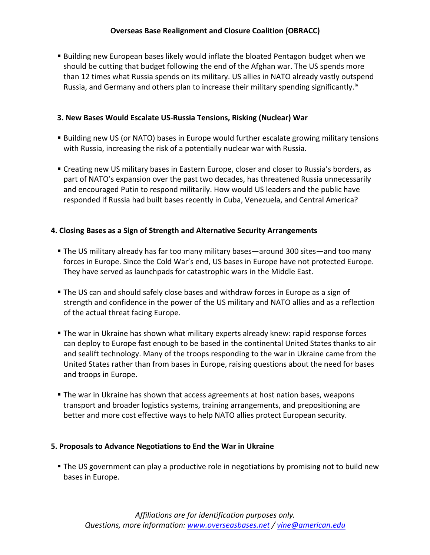**■ Building new European bases likely would inflate the bloated Pentagon budget when we** should be cutting that budget following the end of the Afghan war. The US spends more than 12 times what Russia spends on its military. US allies in NATO already vastly outspend Russia, and Germany and others plan to increase their military spending significantly.<sup>17</sup>

## **3. New Bases Would Escalate US-Russia Tensions, Risking (Nuclear) War**

- Building new US (or NATO) bases in Europe would further escalate growing military tensions with Russia, increasing the risk of a potentially nuclear war with Russia.
- Creating new US military bases in Eastern Europe, closer and closer to Russia's borders, as part of NATO's expansion over the past two decades, has threatened Russia unnecessarily and encouraged Putin to respond militarily. How would US leaders and the public have responded if Russia had built bases recently in Cuba, Venezuela, and Central America?

## **4. Closing Bases as a Sign of Strength and Alternative Security Arrangements**

- § The US military already has far too many military bases—around 300 sites—and too many forces in Europe. Since the Cold War's end, US bases in Europe have not protected Europe. They have served as launchpads for catastrophic wars in the Middle East.
- **The US can and should safely close bases and withdraw forces in Europe as a sign of** strength and confidence in the power of the US military and NATO allies and as a reflection of the actual threat facing Europe.
- § The war in Ukraine has shown what military experts already knew: rapid response forces can deploy to Europe fast enough to be based in the continental United States thanks to air and sealift technology. Many of the troops responding to the war in Ukraine came from the United States rather than from bases in Europe, raising questions about the need for bases and troops in Europe.
- **The war in Ukraine has shown that access agreements at host nation bases, weapons** transport and broader logistics systems, training arrangements, and prepositioning are better and more cost effective ways to help NATO allies protect European security.

#### **5. Proposals to Advance Negotiations to End the War in Ukraine**

**• The US government can play a productive role in negotiations by promising not to build new** bases in Europe.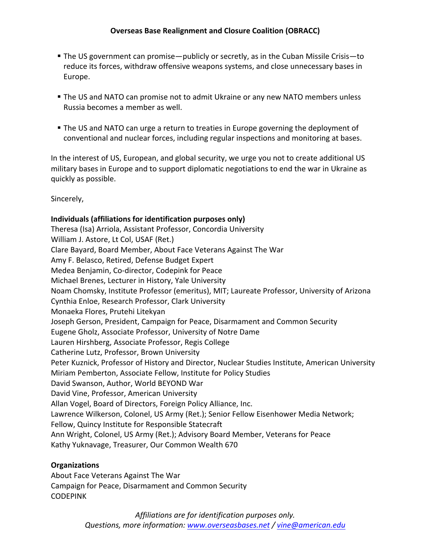- § The US government can promise—publicly or secretly, as in the Cuban Missile Crisis—to reduce its forces, withdraw offensive weapons systems, and close unnecessary bases in Europe.
- **The US and NATO can promise not to admit Ukraine or any new NATO members unless** Russia becomes a member as well.
- **The US and NATO can urge a return to treaties in Europe governing the deployment of** conventional and nuclear forces, including regular inspections and monitoring at bases.

In the interest of US, European, and global security, we urge you not to create additional US military bases in Europe and to support diplomatic negotiations to end the war in Ukraine as quickly as possible.

Sincerely,

## **Individuals (affiliations for identification purposes only)**

Theresa (Isa) Arriola, Assistant Professor, Concordia University William J. Astore, Lt Col, USAF (Ret.) Clare Bayard, Board Member, About Face Veterans Against The War Amy F. Belasco, Retired, Defense Budget Expert Medea Benjamin, Co-director, Codepink for Peace Michael Brenes, Lecturer in History, Yale University Noam Chomsky, Institute Professor (emeritus), MIT; Laureate Professor, University of Arizona Cynthia Enloe, Research Professor, Clark University Monaeka Flores, Prutehi Litekyan Joseph Gerson, President, Campaign for Peace, Disarmament and Common Security Eugene Gholz, Associate Professor, University of Notre Dame Lauren Hirshberg, Associate Professor, Regis College Catherine Lutz, Professor, Brown University Peter Kuznick, Professor of History and Director, Nuclear Studies Institute, American University Miriam Pemberton, Associate Fellow, Institute for Policy Studies David Swanson, Author, World BEYOND War David Vine, Professor, American University Allan Vogel, Board of Directors, Foreign Policy Alliance, Inc. Lawrence Wilkerson, Colonel, US Army (Ret.); Senior Fellow Eisenhower Media Network; Fellow, Quincy Institute for Responsible Statecraft Ann Wright, Colonel, US Army (Ret.); Advisory Board Member, Veterans for Peace Kathy Yuknavage, Treasurer, Our Common Wealth 670

## **Organizations**

About Face Veterans Against The War Campaign for Peace, Disarmament and Common Security CODEPINK